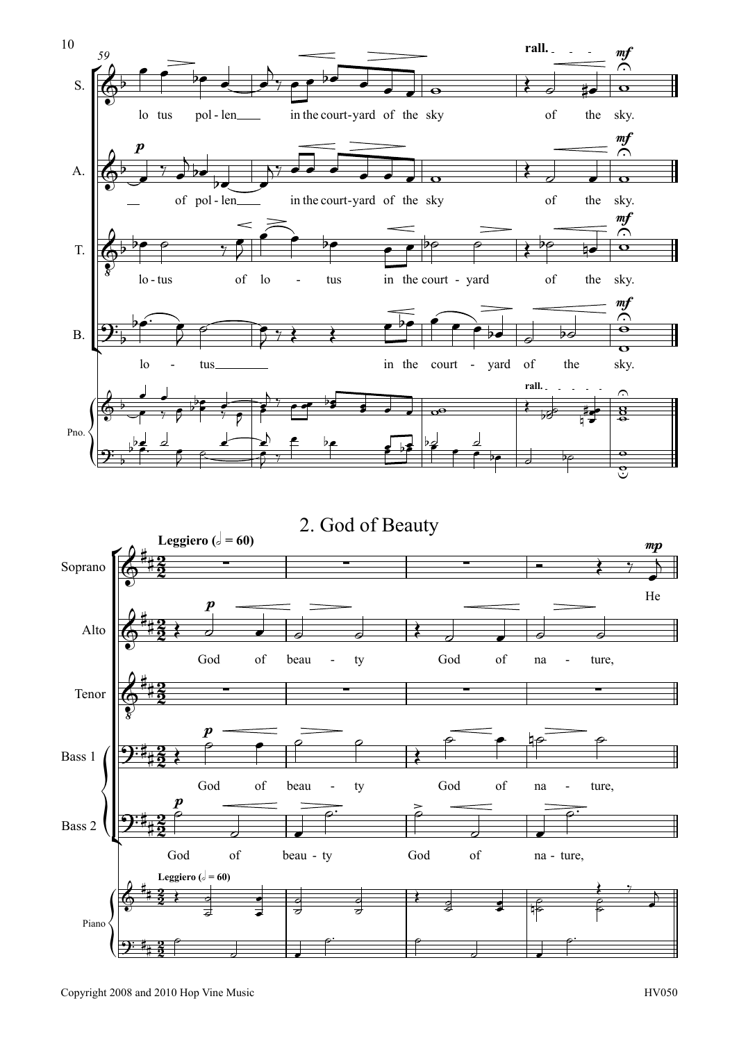